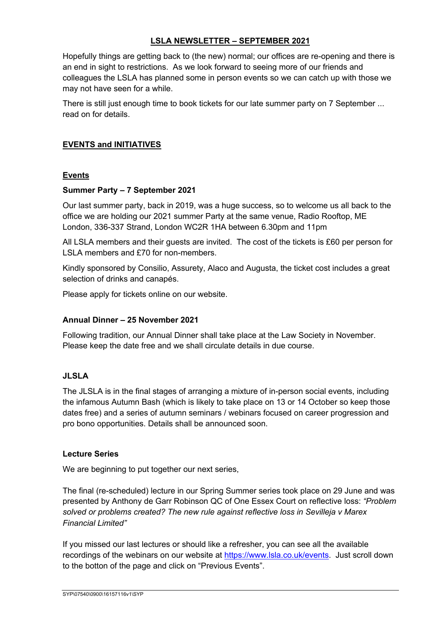# **LSLA NEWSLETTER – SEPTEMBER 2021**

Hopefully things are getting back to (the new) normal; our offices are re-opening and there is an end in sight to restrictions. As we look forward to seeing more of our friends and colleagues the LSLA has planned some in person events so we can catch up with those we may not have seen for a while.

There is still just enough time to book tickets for our late summer party on 7 September ... read on for details.

# **EVENTS and INITIATIVES**

## **Events**

## **Summer Party – 7 September 2021**

Our last summer party, back in 2019, was a huge success, so to welcome us all back to the office we are holding our 2021 summer Party at the same venue, Radio Rooftop, ME London, 336-337 Strand, London WC2R 1HA between 6.30pm and 11pm

All LSLA members and their guests are invited. The cost of the tickets is £60 per person for LSLA members and £70 for non-members.

Kindly sponsored by Consilio, Assurety, Alaco and Augusta, the ticket cost includes a great selection of drinks and canapés.

Please apply for tickets online on our website.

#### **Annual Dinner – 25 November 2021**

Following tradition, our Annual Dinner shall take place at the Law Society in November. Please keep the date free and we shall circulate details in due course.

## **JLSLA**

The JLSLA is in the final stages of arranging a mixture of in-person social events, including the infamous Autumn Bash (which is likely to take place on 13 or 14 October so keep those dates free) and a series of autumn seminars / webinars focused on career progression and pro bono opportunities. Details shall be announced soon.

#### **Lecture Series**

We are beginning to put together our next series,

The final (re-scheduled) lecture in our Spring Summer series took place on 29 June and was presented by Anthony de Garr Robinson QC of One Essex Court on reflective loss: *"Problem solved or problems created? The new rule against reflective loss in Sevilleja v Marex Financial Limited"*

If you missed our last lectures or should like a refresher, you can see all the available recordings of the webinars on our website at https://www.lsla.co.uk/events. Just scroll down to the botton of the page and click on "Previous Events".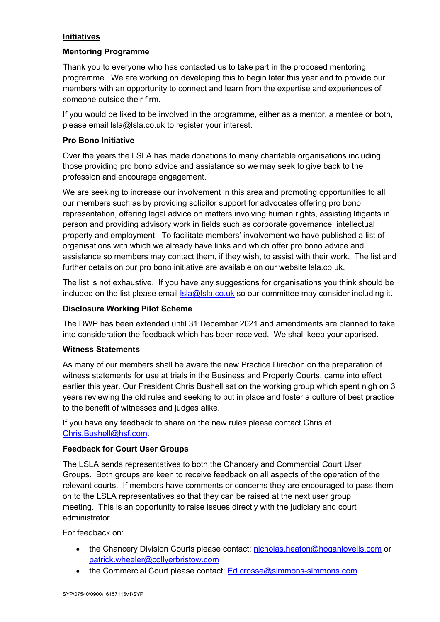# **Initiatives**

## **Mentoring Programme**

Thank you to everyone who has contacted us to take part in the proposed mentoring programme. We are working on developing this to begin later this year and to provide our members with an opportunity to connect and learn from the expertise and experiences of someone outside their firm.

If you would be liked to be involved in the programme, either as a mentor, a mentee or both, please email lsla@lsla.co.uk to register your interest.

## **Pro Bono Initiative**

Over the years the LSLA has made donations to many charitable organisations including those providing pro bono advice and assistance so we may seek to give back to the profession and encourage engagement.

We are seeking to increase our involvement in this area and promoting opportunities to all our members such as by providing solicitor support for advocates offering pro bono representation, offering legal advice on matters involving human rights, assisting litigants in person and providing advisory work in fields such as corporate governance, intellectual property and employment. To facilitate members' involvement we have published a list of organisations with which we already have links and which offer pro bono advice and assistance so members may contact them, if they wish, to assist with their work. The list and further details on our pro bono initiative are available on our website lsla.co.uk.

The list is not exhaustive. If you have any suggestions for organisations you think should be included on the list please email  $\text{lsla} \textcircled{a} \text{lsla.co.uk}$  so our committee may consider including it.

## **Disclosure Working Pilot Scheme**

The DWP has been extended until 31 December 2021 and amendments are planned to take into consideration the feedback which has been received. We shall keep your apprised.

#### **Witness Statements**

As many of our members shall be aware the new Practice Direction on the preparation of witness statements for use at trials in the Business and Property Courts, came into effect earlier this year. Our President Chris Bushell sat on the working group which spent nigh on 3 years reviewing the old rules and seeking to put in place and foster a culture of best practice to the benefit of witnesses and judges alike.

If you have any feedback to share on the new rules please contact Chris at Chris.Bushell@hsf.com.

# **Feedback for Court User Groups**

The LSLA sends representatives to both the Chancery and Commercial Court User Groups. Both groups are keen to receive feedback on all aspects of the operation of the relevant courts. If members have comments or concerns they are encouraged to pass them on to the LSLA representatives so that they can be raised at the next user group meeting. This is an opportunity to raise issues directly with the judiciary and court administrator.

For feedback on:

- the Chancery Division Courts please contact: nicholas.heaton@hoganlovells.com or patrick.wheeler@collyerbristow.com
- the Commercial Court please contact: Ed.crosse@simmons-simmons.com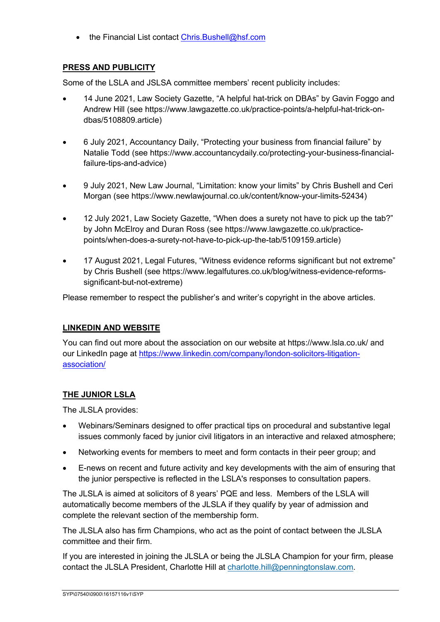• the Financial List contact Chris.Bushell@hsf.com

# **PRESS AND PUBLICITY**

Some of the LSLA and JSLSA committee members' recent publicity includes:

- 14 June 2021, Law Society Gazette, "A helpful hat-trick on DBAs" by Gavin Foggo and Andrew Hill (see https://www.lawgazette.co.uk/practice-points/a-helpful-hat-trick-ondbas/5108809.article)
- 6 July 2021, Accountancy Daily, "Protecting your business from financial failure" by Natalie Todd (see https://www.accountancydaily.co/protecting-your-business-financialfailure-tips-and-advice)
- 9 July 2021, New Law Journal, "Limitation: know your limits" by Chris Bushell and Ceri Morgan (see https://www.newlawjournal.co.uk/content/know-your-limits-52434)
- 12 July 2021, Law Society Gazette, "When does a surety not have to pick up the tab?" by John McElroy and Duran Ross (see https://www.lawgazette.co.uk/practicepoints/when-does-a-surety-not-have-to-pick-up-the-tab/5109159.article)
- 17 August 2021, Legal Futures, "Witness evidence reforms significant but not extreme" by Chris Bushell (see https://www.legalfutures.co.uk/blog/witness-evidence-reformssignificant-but-not-extreme)

Please remember to respect the publisher's and writer's copyright in the above articles.

# **LINKEDIN AND WEBSITE**

You can find out more about the association on our website at https://www.lsla.co.uk/ and our LinkedIn page at https://www.linkedin.com/company/london-solicitors-litigationassociation/

# **THE JUNIOR LSLA**

The JLSLA provides:

- Webinars/Seminars designed to offer practical tips on procedural and substantive legal issues commonly faced by junior civil litigators in an interactive and relaxed atmosphere;
- Networking events for members to meet and form contacts in their peer group; and
- E-news on recent and future activity and key developments with the aim of ensuring that the junior perspective is reflected in the LSLA's responses to consultation papers.

The JLSLA is aimed at solicitors of 8 years' PQE and less. Members of the LSLA will automatically become members of the JLSLA if they qualify by year of admission and complete the relevant section of the membership form.

The JLSLA also has firm Champions, who act as the point of contact between the JLSLA committee and their firm.

If you are interested in joining the JLSLA or being the JLSLA Champion for your firm, please contact the JLSLA President, Charlotte Hill at charlotte.hill@penningtonslaw.com.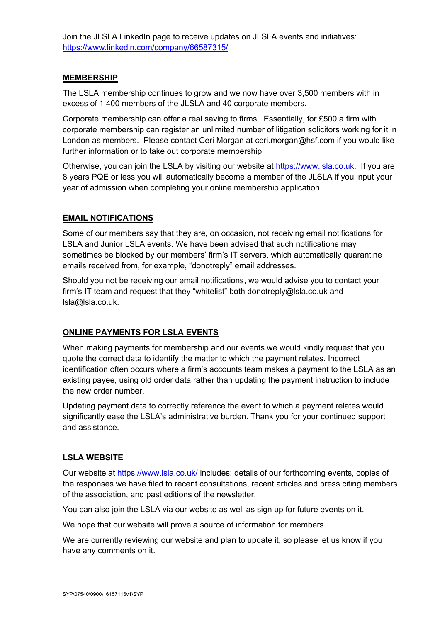Join the JLSLA LinkedIn page to receive updates on JLSLA events and initiatives: https://www.linkedin.com/company/66587315/

## **MEMBERSHIP**

The LSLA membership continues to grow and we now have over 3,500 members with in excess of 1,400 members of the JLSLA and 40 corporate members.

Corporate membership can offer a real saving to firms. Essentially, for £500 a firm with corporate membership can register an unlimited number of litigation solicitors working for it in London as members. Please contact Ceri Morgan at ceri.morgan@hsf.com if you would like further information or to take out corporate membership.

Otherwise, you can join the LSLA by visiting our website at https://www.lsla.co.uk. If you are 8 years PQE or less you will automatically become a member of the JLSLA if you input your year of admission when completing your online membership application.

## **EMAIL NOTIFICATIONS**

Some of our members say that they are, on occasion, not receiving email notifications for LSLA and Junior LSLA events. We have been advised that such notifications may sometimes be blocked by our members' firm's IT servers, which automatically quarantine emails received from, for example, "donotreply" email addresses.

Should you not be receiving our email notifications, we would advise you to contact your firm's IT team and request that they "whitelist" both donotreply@lsla.co.uk and lsla@lsla.co.uk.

#### **ONLINE PAYMENTS FOR LSLA EVENTS**

When making payments for membership and our events we would kindly request that you quote the correct data to identify the matter to which the payment relates. Incorrect identification often occurs where a firm's accounts team makes a payment to the LSLA as an existing payee, using old order data rather than updating the payment instruction to include the new order number.

Updating payment data to correctly reference the event to which a payment relates would significantly ease the LSLA's administrative burden. Thank you for your continued support and assistance.

# **LSLA WEBSITE**

Our website at https://www.lsla.co.uk/ includes: details of our forthcoming events, copies of the responses we have filed to recent consultations, recent articles and press citing members of the association, and past editions of the newsletter.

You can also join the LSLA via our website as well as sign up for future events on it.

We hope that our website will prove a source of information for members.

We are currently reviewing our website and plan to update it, so please let us know if you have any comments on it.